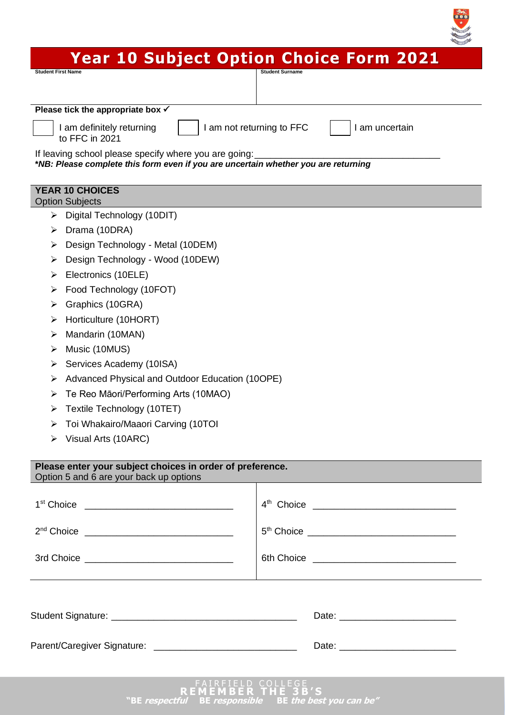# **Year 10 Subject Option Choice Form 2021**

 $\begin{array}{c}\n\sqrt{2} \\
\sqrt{2} \\
\sqrt{2} \\
\sqrt{2}\n\end{array}$ 

| Student First Name                                                                 | <b>Student Surname</b>                      |
|------------------------------------------------------------------------------------|---------------------------------------------|
| Please tick the appropriate box $\checkmark$                                       |                                             |
|                                                                                    | I am not returning to FFC<br>I am uncertain |
| I am definitely returning<br>to FFC in 2021                                        |                                             |
| If leaving school please specify where you are going:                              |                                             |
| *NB: Please complete this form even if you are uncertain whether you are returning |                                             |
| <b>YEAR 10 CHOICES</b>                                                             |                                             |
| <b>Option Subjects</b>                                                             |                                             |
| Digital Technology (10DIT)<br>➤                                                    |                                             |
| Drama (10DRA)<br>➤                                                                 |                                             |
| Design Technology - Metal (10DEM)<br>➤                                             |                                             |
| Design Technology - Wood (10DEW)<br>➤                                              |                                             |
| Electronics (10ELE)<br>⋗                                                           |                                             |
| Food Technology (10FOT)<br>➤                                                       |                                             |
| Graphics (10GRA)<br>➤                                                              |                                             |
| Horticulture (10HORT)<br>➤                                                         |                                             |
| Mandarin (10MAN)<br>➤                                                              |                                             |
| Music (10MUS)<br>➤                                                                 |                                             |
| Services Academy (10ISA)<br>➤                                                      |                                             |
| Advanced Physical and Outdoor Education (10OPE)<br>➤                               |                                             |
| Te Reo Māori/Performing Arts (10MAO)<br>➤                                          |                                             |
| Textile Technology (10TET)<br>➤                                                    |                                             |
| Toi Whakairo/Maaori Carving (10TOI<br>⋗                                            |                                             |
| Visual Arts (10ARC)<br>➤                                                           |                                             |
| Please enter your subject choices in order of preference.                          |                                             |
| Option 5 and 6 are your back up options                                            |                                             |
|                                                                                    |                                             |
|                                                                                    |                                             |
|                                                                                    |                                             |
|                                                                                    |                                             |
|                                                                                    |                                             |
|                                                                                    |                                             |
|                                                                                    |                                             |
|                                                                                    |                                             |
|                                                                                    |                                             |
|                                                                                    |                                             |
|                                                                                    |                                             |
|                                                                                    |                                             |
|                                                                                    | FAIRFIELD COLLEGE<br>MEMBER THE 3B'S        |

**<sup>&</sup>quot;BE respectful BE responsible BE the best you can be"**